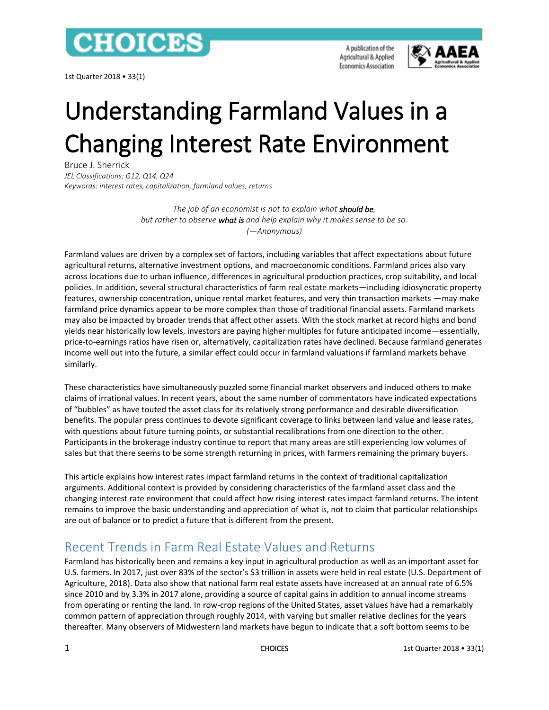

1st Quarter 2018 • 33(1)

A publication of the Agricultural & Applied **Economics Association** 



# Understanding Farmland Values in a Changing Interest Rate Environment

Bruce J. Sherrick *JEL Classifications: G12, Q14, Q24 Keywords: interest rates, capitalization, farmland values, returns*

> *The job of an economist is not to explain what should be, but rather to observe what is and help explain why it makes sense to be so. (—Anonymous)*

Farmland values are driven by a complex set of factors, including variables that affect expectations about future agricultural returns, alternative investment options, and macroeconomic conditions. Farmland prices also vary across locations due to urban influence, differences in agricultural production practices, crop suitability, and local policies. In addition, several structural characteristics of farm real estate markets—including idiosyncratic property features, ownership concentration, unique rental market features, and very thin transaction markets —may make farmland price dynamics appear to be more complex than those of traditional financial assets. Farmland markets may also be impacted by broader trends that affect other assets. With the stock market at record highs and bond yields near historically low levels, investors are paying higher multiples for future anticipated income—essentially, price-to-earnings ratios have risen or, alternatively, capitalization rates have declined. Because farmland generates income well out into the future, a similar effect could occur in farmland valuations if farmland markets behave similarly.

These characteristics have simultaneously puzzled some financial market observers and induced others to make claims of irrational values. In recent years, about the same number of commentators have indicated expectations of "bubbles" as have touted the asset class for its relatively strong performance and desirable diversification benefits. The popular press continues to devote significant coverage to links between land value and lease rates, with questions about future turning points, or substantial recalibrations from one direction to the other. Participants in the brokerage industry continue to report that many areas are still experiencing low volumes of sales but that there seems to be some strength returning in prices, with farmers remaining the primary buyers.

This article explains how interest rates impact farmland returns in the context of traditional capitalization arguments. Additional context is provided by considering characteristics of the farmland asset class and the changing interest rate environment that could affect how rising interest rates impact farmland returns. The intent remains to improve the basic understanding and appreciation of what is, not to claim that particular relationships are out of balance or to predict a future that is different from the present.

# Recent Trends in Farm Real Estate Values and Returns

Farmland has historically been and remains a key input in agricultural production as well as an important asset for U.S. farmers. In 2017, just over 83% of the sector's \$3 trillion in assets were held in real estate (U.S. Department of Agriculture, 2018). Data also show that national farm real estate assets have increased at an annual rate of 6.5% since 2010 and by 3.3% in 2017 alone, providing a source of capital gains in addition to annual income streams from operating or renting the land. In row-crop regions of the United States, asset values have had a remarkably common pattern of appreciation through roughly 2014, with varying but smaller relative declines for the years thereafter. Many observers of Midwestern land markets have begun to indicate that a soft bottom seems to be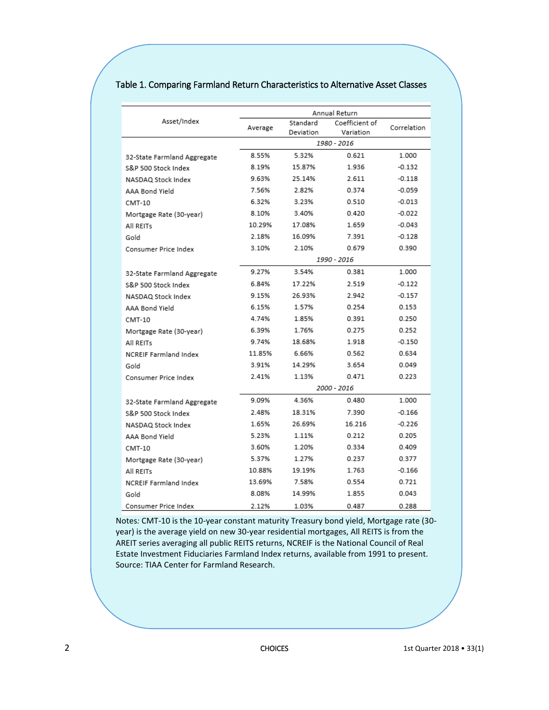|                              | Annual Return |           |                |             |
|------------------------------|---------------|-----------|----------------|-------------|
| Asset/Index                  | Average       | Standard  | Coefficient of | Correlation |
|                              |               | Deviation | Variation      |             |
|                              | 1980 - 2016   |           |                |             |
| 32-State Farmland Aggregate  | 8.55%         | 5.32%     | 0.621          | 1.000       |
| S&P 500 Stock Index          | 8.19%         | 15.87%    | 1.936          | $-0.132$    |
| NASDAQ Stock Index           | 9.63%         | 25.14%    | 2.611          | $-0.118$    |
| AAA Bond Yield               | 7.56%         | 2.82%     | 0.374          | $-0.059$    |
| CMT-10                       | 6.32%         | 3.23%     | 0.510          | $-0.013$    |
| Mortgage Rate (30-year)      | 8.10%         | 3.40%     | 0.420          | $-0.022$    |
| All REITs                    | 10.29%        | 17.08%    | 1.659          | $-0.043$    |
| Gold                         | 2.18%         | 16.09%    | 7.391          | $-0.128$    |
| Consumer Price Index         | 3.10%         | 2.10%     | 0.679          | 0.390       |
|                              | 1990 - 2016   |           |                |             |
| 32-State Farmland Aggregate  | 9.27%         | 3.54%     | 0.381          | 1.000       |
| S&P 500 Stock Index          | 6.84%         | 17.22%    | 2.519          | $-0.122$    |
| NASDAQ Stock Index           | 9.15%         | 26.93%    | 2.942          | $-0.157$    |
| AAA Bond Yield               | 6.15%         | 1.57%     | 0.254          | 0.153       |
| CMT-10                       | 4.74%         | 1.85%     | 0.391          | 0.250       |
| Mortgage Rate (30-year)      | 6.39%         | 1 76%     | 0.275          | 0.252       |
| All REITs                    | 9.74%         | 18.68%    | 1.918          | $-0.150$    |
| <b>NCREIF Farmland Index</b> | 11.85%        | 6.66%     | 0.562          | 0.634       |
| Gold                         | 3.91%         | 14.29%    | 3.654          | 0.049       |
| Consumer Price Index         | 2.41%         | 1.13%     | 0.471          | 0.223       |
|                              | 2000 - 2016   |           |                |             |
| 32-State Farmland Aggregate  | 9.09%         | 4.36%     | 0.480          | 1.000       |
| S&P 500 Stock Index          | 2.48%         | 18.31%    | 7.390          | $-0.166$    |
| NASDAQ Stock Index           | 1.65%         | 26.69%    | 16.216         | $-0.226$    |
| AAA Bond Yield               | 5.23%         | 1.11%     | 0.212          | 0.205       |
| CMT-10                       | 3.60%         | 1.20%     | 0.334          | 0.409       |
| Mortgage Rate (30-year)      | 5.37%         | 1.27%     | 0.237          | 0.377       |
| All REITs                    | 10.88%        | 19.19%    | 1.763          | $-0.166$    |
| <b>NCREIF Farmland Index</b> | 13.69%        | 7.58%     | 0.554          | 0.721       |
| Gold                         | 8.08%         | 14.99%    | 1.855          | 0.043       |
| Consumer Price Index         | 2.12%         | 1.03%     | 0.487          | 0.288       |

#### Table 1. Comparing Farmland Return Characteristics to Alternative Asset Classes

Notes*:* CMT-10 is the 10-year constant maturity Treasury bond yield, Mortgage rate (30 year) is the average yield on new 30-year residential mortgages, All REITS is from the AREIT series averaging all public REITS returns, NCREIF is the National Council of Real Estate Investment Fiduciaries Farmland Index returns, available from 1991 to present. Source: TIAA Center for Farmland Research.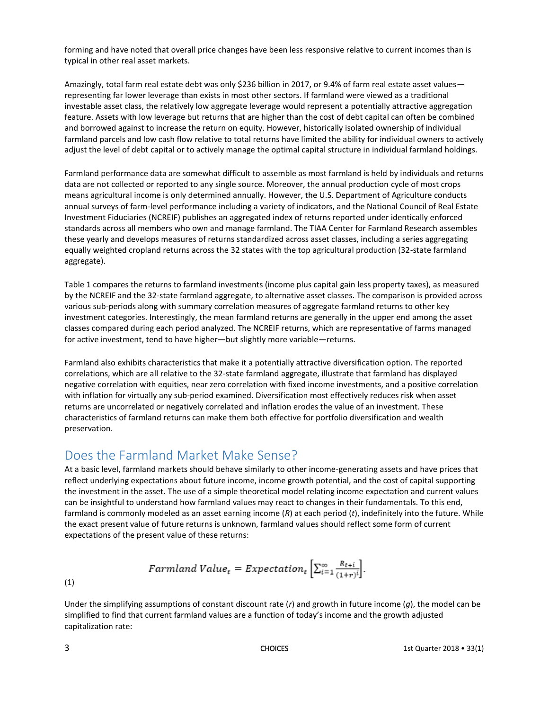forming and have noted that overall price changes have been less responsive relative to current incomes than is typical in other real asset markets.

Amazingly, total farm real estate debt was only \$236 billion in 2017, or 9.4% of farm real estate asset values representing far lower leverage than exists in most other sectors. If farmland were viewed as a traditional investable asset class, the relatively low aggregate leverage would represent a potentially attractive aggregation feature. Assets with low leverage but returns that are higher than the cost of debt capital can often be combined and borrowed against to increase the return on equity. However, historically isolated ownership of individual farmland parcels and low cash flow relative to total returns have limited the ability for individual owners to actively adjust the level of debt capital or to actively manage the optimal capital structure in individual farmland holdings.

Farmland performance data are somewhat difficult to assemble as most farmland is held by individuals and returns data are not collected or reported to any single source. Moreover, the annual production cycle of most crops means agricultural income is only determined annually. However, the U.S. Department of Agriculture conducts annual surveys of farm-level performance including a variety of indicators, and the National Council of Real Estate Investment Fiduciaries (NCREIF) publishes an aggregated index of returns reported under identically enforced standards across all members who own and manage farmland. The TIAA Center for Farmland Research assembles these yearly and develops measures of returns standardized across asset classes, including a series aggregating equally weighted cropland returns across the 32 states with the top agricultural production (32-state farmland aggregate).

Table 1 compares the returns to farmland investments (income plus capital gain less property taxes), as measured by the NCREIF and the 32-state farmland aggregate, to alternative asset classes. The comparison is provided across various sub-periods along with summary correlation measures of aggregate farmland returns to other key investment categories. Interestingly, the mean farmland returns are generally in the upper end among the asset classes compared during each period analyzed. The NCREIF returns, which are representative of farms managed for active investment, tend to have higher—but slightly more variable—returns.

Farmland also exhibits characteristics that make it a potentially attractive diversification option. The reported correlations, which are all relative to the 32-state farmland aggregate, illustrate that farmland has displayed negative correlation with equities, near zero correlation with fixed income investments, and a positive correlation with inflation for virtually any sub-period examined. Diversification most effectively reduces risk when asset returns are uncorrelated or negatively correlated and inflation erodes the value of an investment. These characteristics of farmland returns can make them both effective for portfolio diversification and wealth preservation.

# Does the Farmland Market Make Sense?

At a basic level, farmland markets should behave similarly to other income-generating assets and have prices that reflect underlying expectations about future income, income growth potential, and the cost of capital supporting the investment in the asset. The use of a simple theoretical model relating income expectation and current values can be insightful to understand how farmland values may react to changes in their fundamentals. To this end, farmland is commonly modeled as an asset earning income (*R*) at each period (*t*), indefinitely into the future. While the exact present value of future returns is unknown, farmland values should reflect some form of current expectations of the present value of these returns:

$$
Farmland\ Value_t = Expectation_t\left[\textstyle\sum_{i=1}^{\infty}\frac{R_{t+i}}{(1+r)^i}\right].
$$

(1)

Under the simplifying assumptions of constant discount rate (*r*) and growth in future income (*g*), the model can be simplified to find that current farmland values are a function of today's income and the growth adjusted capitalization rate: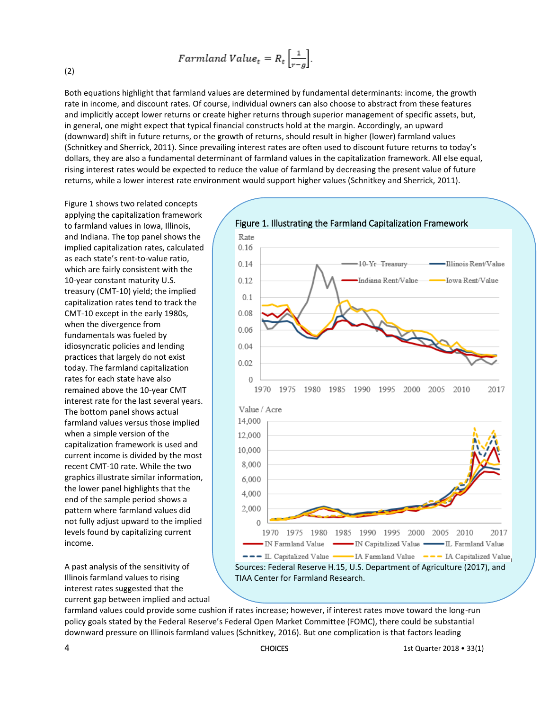$$
Farmland\ Value_t = R_t \left[ \frac{1}{r - g} \right].
$$

(2)

Both equations highlight that farmland values are determined by fundamental determinants: income, the growth rate in income, and discount rates. Of course, individual owners can also choose to abstract from these features and implicitly accept lower returns or create higher returns through superior management of specific assets, but, in general, one might expect that typical financial constructs hold at the margin. Accordingly, an upward (downward) shift in future returns, or the growth of returns, should result in higher (lower) farmland values (Schnitkey and Sherrick, 2011). Since prevailing interest rates are often used to discount future returns to today's dollars, they are also a fundamental determinant of farmland values in the capitalization framework. All else equal, rising interest rates would be expected to reduce the value of farmland by decreasing the present value of future returns, while a lower interest rate environment would support higher values (Schnitkey and Sherrick, 2011).

Figure 1 shows two related concepts applying the capitalization framework to farmland values in Iowa, Illinois, and Indiana. The top panel shows the implied capitalization rates, calculated as each state's rent-to-value ratio, which are fairly consistent with the 10-year constant maturity U.S. treasury (CMT-10) yield; the implied capitalization rates tend to track the CMT-10 except in the early 1980s, when the divergence from fundamentals was fueled by idiosyncratic policies and lending practices that largely do not exist today. The farmland capitalization rates for each state have also remained above the 10-year CMT interest rate for the last several years. The bottom panel shows actual farmland values versus those implied when a simple version of the capitalization framework is used and current income is divided by the most recent CMT-10 rate. While the two graphics illustrate similar information, the lower panel highlights that the end of the sample period shows a pattern where farmland values did not fully adjust upward to the implied levels found by capitalizing current income.

A past analysis of the sensitivity of Illinois farmland values to rising interest rates suggested that the current gap between implied and actual



farmland values could provide some cushion if rates increase; however, if interest rates move toward the long-run policy goals stated by the Federal Reserve's Federal Open Market Committee (FOMC), there could be substantial downward pressure on Illinois farmland values (Schnitkey, 2016). But one complication is that factors leading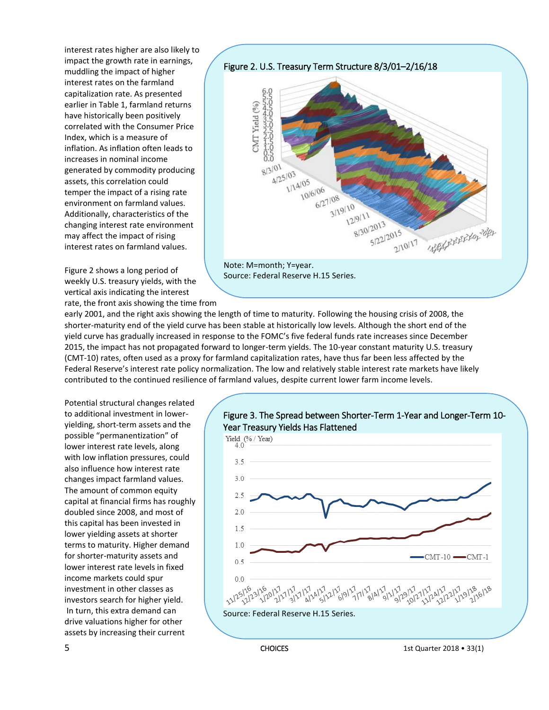interest rates higher are also likely to impact the growth rate in earnings, muddling the impact of higher interest rates on the farmland capitalization rate. As presented earlier in Table 1, farmland returns have historically been positively correlated with the Consumer Price Index, which is a measure of inflation. As inflation often leads to increases in nominal income generated by commodity producing assets, this correlation could temper the impact of a rising rate environment on farmland values. Additionally, characteristics of the changing interest rate environment may affect the impact of rising interest rates on farmland values.

Figure 2 shows a long period of weekly U.S. treasury yields, with the vertical axis indicating the interest rate, the front axis showing the time from



early 2001, and the right axis showing the length of time to maturity. Following the housing crisis of 2008, the shorter-maturity end of the yield curve has been stable at historically low levels. Although the short end of the yield curve has gradually increased in response to the FOMC's five federal funds rate increases since December 2015, the impact has not propagated forward to longer-term yields. The 10-year constant maturity U.S. treasury (CMT-10) rates, often used as a proxy for farmland capitalization rates, have thus far been less affected by the Federal Reserve's interest rate policy normalization. The low and relatively stable interest rate markets have likely contributed to the continued resilience of farmland values, despite current lower farm income levels.

Potential structural changes related to additional investment in loweryielding, short-term assets and the possible "permanentization" of lower interest rate levels, along with low inflation pressures, could also influence how interest rate changes impact farmland values. The amount of common equity capital at financial firms has roughly doubled since 2008, and most of this capital has been invested in lower yielding assets at shorter terms to maturity. Higher demand for shorter-maturity assets and lower interest rate levels in fixed income markets could spur investment in other classes as investors search for higher yield. In turn, this extra demand can drive valuations higher for other assets by increasing their current

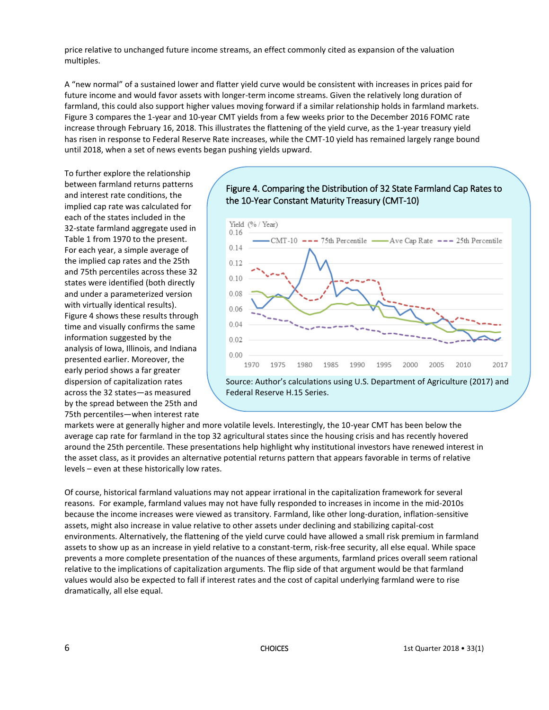price relative to unchanged future income streams, an effect commonly cited as expansion of the valuation multiples.

A "new normal" of a sustained lower and flatter yield curve would be consistent with increases in prices paid for future income and would favor assets with longer-term income streams. Given the relatively long duration of farmland, this could also support higher values moving forward if a similar relationship holds in farmland markets. Figure 3 compares the 1-year and 10-year CMT yields from a few weeks prior to the December 2016 FOMC rate increase through February 16, 2018. This illustrates the flattening of the yield curve, as the 1-year treasury yield has risen in response to Federal Reserve Rate increases, while the CMT-10 yield has remained largely range bound until 2018, when a set of news events began pushing yields upward.

To further explore the relationship between farmland returns patterns and interest rate conditions, the implied cap rate was calculated for each of the states included in the 32-state farmland aggregate used in Table 1 from 1970 to the present. For each year, a simple average of the implied cap rates and the 25th and 75th percentiles across these 32 states were identified (both directly and under a parameterized version with virtually identical results). Figure 4 shows these results through time and visually confirms the same information suggested by the analysis of Iowa, Illinois, and Indiana presented earlier. Moreover, the early period shows a far greater dispersion of capitalization rates across the 32 states—as measured by the spread between the 25th and 75th percentiles—when interest rate

#### Figure 4. Comparing the Distribution of 32 State Farmland Cap Rates to the 10-Year Constant Maturity Treasury (CMT-10)



markets were at generally higher and more volatile levels. Interestingly, the 10-year CMT has been below the average cap rate for farmland in the top 32 agricultural states since the housing crisis and has recently hovered around the 25th percentile. These presentations help highlight why institutional investors have renewed interest in the asset class, as it provides an alternative potential returns pattern that appears favorable in terms of relative levels – even at these historically low rates.

Of course, historical farmland valuations may not appear irrational in the capitalization framework for several reasons. For example, farmland values may not have fully responded to increases in income in the mid-2010s because the income increases were viewed as transitory. Farmland, like other long-duration, inflation-sensitive assets, might also increase in value relative to other assets under declining and stabilizing capital-cost environments. Alternatively, the flattening of the yield curve could have allowed a small risk premium in farmland assets to show up as an increase in yield relative to a constant-term, risk-free security, all else equal. While space prevents a more complete presentation of the nuances of these arguments, farmland prices overall seem rational relative to the implications of capitalization arguments. The flip side of that argument would be that farmland values would also be expected to fall if interest rates and the cost of capital underlying farmland were to rise dramatically, all else equal.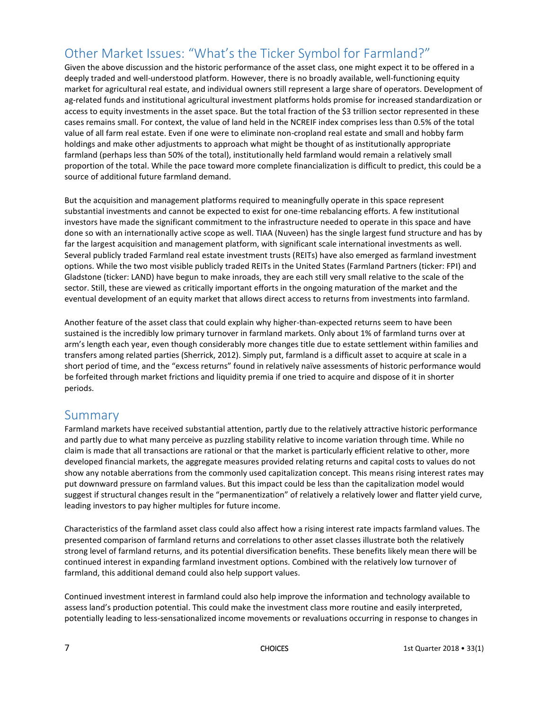# Other Market Issues: "What's the Ticker Symbol for Farmland?"

Given the above discussion and the historic performance of the asset class, one might expect it to be offered in a deeply traded and well-understood platform. However, there is no broadly available, well-functioning equity market for agricultural real estate, and individual owners still represent a large share of operators. Development of ag-related funds and institutional agricultural investment platforms holds promise for increased standardization or access to equity investments in the asset space. But the total fraction of the \$3 trillion sector represented in these cases remains small. For context, the value of land held in the NCREIF index comprises less than 0.5% of the total value of all farm real estate. Even if one were to eliminate non-cropland real estate and small and hobby farm holdings and make other adjustments to approach what might be thought of as institutionally appropriate farmland (perhaps less than 50% of the total), institutionally held farmland would remain a relatively small proportion of the total. While the pace toward more complete financialization is difficult to predict, this could be a source of additional future farmland demand.

But the acquisition and management platforms required to meaningfully operate in this space represent substantial investments and cannot be expected to exist for one-time rebalancing efforts. A few institutional investors have made the significant commitment to the infrastructure needed to operate in this space and have done so with an internationally active scope as well. TIAA (Nuveen) has the single largest fund structure and has by far the largest acquisition and management platform, with significant scale international investments as well. Several publicly traded Farmland real estate investment trusts (REITs) have also emerged as farmland investment options. While the two most visible publicly traded REITs in the United States (Farmland Partners (ticker: FPI) and Gladstone (ticker: LAND) have begun to make inroads, they are each still very small relative to the scale of the sector. Still, these are viewed as critically important efforts in the ongoing maturation of the market and the eventual development of an equity market that allows direct access to returns from investments into farmland.

Another feature of the asset class that could explain why higher-than-expected returns seem to have been sustained is the incredibly low primary turnover in farmland markets. Only about 1% of farmland turns over at arm's length each year, even though considerably more changes title due to estate settlement within families and transfers among related parties (Sherrick, 2012). Simply put, farmland is a difficult asset to acquire at scale in a short period of time, and the "excess returns" found in relatively naïve assessments of historic performance would be forfeited through market frictions and liquidity premia if one tried to acquire and dispose of it in shorter periods.

#### Summary

Farmland markets have received substantial attention, partly due to the relatively attractive historic performance and partly due to what many perceive as puzzling stability relative to income variation through time. While no claim is made that all transactions are rational or that the market is particularly efficient relative to other, more developed financial markets, the aggregate measures provided relating returns and capital costs to values do not show any notable aberrations from the commonly used capitalization concept. This means rising interest rates may put downward pressure on farmland values. But this impact could be less than the capitalization model would suggest if structural changes result in the "permanentization" of relatively a relatively lower and flatter yield curve, leading investors to pay higher multiples for future income.

Characteristics of the farmland asset class could also affect how a rising interest rate impacts farmland values. The presented comparison of farmland returns and correlations to other asset classes illustrate both the relatively strong level of farmland returns, and its potential diversification benefits. These benefits likely mean there will be continued interest in expanding farmland investment options. Combined with the relatively low turnover of farmland, this additional demand could also help support values.

Continued investment interest in farmland could also help improve the information and technology available to assess land's production potential. This could make the investment class more routine and easily interpreted, potentially leading to less-sensationalized income movements or revaluations occurring in response to changes in